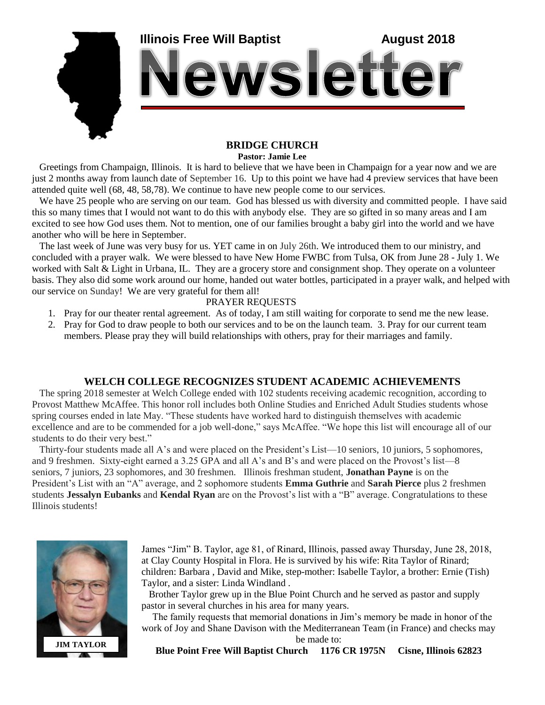

## **BRIDGE CHURCH**

**Pastor: Jamie Lee**

 Greetings from Champaign, Illinois. It is hard to believe that we have been in Champaign for a year now and we are just 2 months away from launch date of September 16. Up to this point we have had 4 preview services that have been attended quite well (68, 48, 58,78). We continue to have new people come to our services.

 We have 25 people who are serving on our team. God has blessed us with diversity and committed people. I have said this so many times that I would not want to do this with anybody else. They are so gifted in so many areas and I am excited to see how God uses them. Not to mention, one of our families brought a baby girl into the world and we have another who will be here in September.

 The last week of June was very busy for us. YET came in on July 26th. We introduced them to our ministry, and concluded with a prayer walk. We were blessed to have New Home FWBC from Tulsa, OK from June 28 - July 1. We worked with Salt & Light in Urbana, IL. They are a grocery store and consignment shop. They operate on a volunteer basis. They also did some work around our home, handed out water bottles, participated in a prayer walk, and helped with our service on Sunday! We are very grateful for them all!

## PRAYER REQUESTS

- 1. Pray for our theater rental agreement. As of today, I am still waiting for corporate to send me the new lease.
- 2. Pray for God to draw people to both our services and to be on the launch team. 3. Pray for our current team members. Please pray they will build relationships with others, pray for their marriages and family.

## **WELCH COLLEGE RECOGNIZES STUDENT ACADEMIC ACHIEVEMENTS**

 The spring 2018 semester at Welch College ended with 102 students receiving academic recognition, according to Provost Matthew McAffee. This honor roll includes both Online Studies and Enriched Adult Studies students whose spring courses ended in late May. "These students have worked hard to distinguish themselves with academic excellence and are to be commended for a job well-done," says McAffee. "We hope this list will encourage all of our students to do their very best."

 Thirty-four students made all A's and were placed on the President's List—10 seniors, 10 juniors, 5 sophomores, and 9 freshmen. Sixty-eight earned a 3.25 GPA and all A's and B's and were placed on the Provost's list—8 seniors, 7 juniors, 23 sophomores, and 30 freshmen. Illinois freshman student, **Jonathan Payne** is on the President's List with an "A" average, and 2 sophomore students **Emma Guthrie** and **Sarah Pierce** plus 2 freshmen students **Jessalyn Eubanks** and **Kendal Ryan** are on the Provost's list with a "B" average. Congratulations to these Illinois students!



James "Jim" B. Taylor, age 81, of Rinard, Illinois, passed away Thursday, June 28, 2018, at Clay County Hospital in Flora. He is survived by his wife: Rita Taylor of Rinard; children: Barbara , David and Mike, step-mother: Isabelle Taylor, a brother: Ernie (Tish) Taylor, and a sister: Linda Windland .

 Brother Taylor grew up in the Blue Point Church and he served as pastor and supply pastor in several churches in his area for many years.

 The family requests that memorial donations in Jim's memory be made in honor of the work of Joy and Shane Davison with the Mediterranean Team (in France) and checks may

be made to:

**Blue Point Free Will Baptist Church 1176 CR 1975N Cisne, Illinois 62823**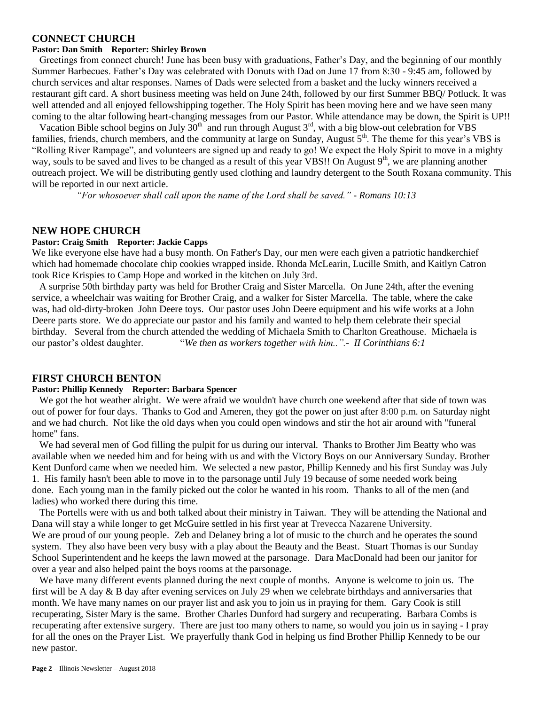#### **CONNECT CHURCH**

#### **Pastor: Dan Smith Reporter: Shirley Brown**

 Greetings from connect church! June has been busy with graduations, Father's Day, and the beginning of our monthly Summer Barbecues. Father's Day was celebrated with Donuts with Dad on June 17 from 8:30 - 9:45 am, followed by church services and altar responses. Names of Dads were selected from a basket and the lucky winners received a restaurant gift card. A short business meeting was held on June 24th, followed by our first Summer BBQ/ Potluck. It was well attended and all enjoyed fellowshipping together. The Holy Spirit has been moving here and we have seen many coming to the altar following heart-changing messages from our Pastor. While attendance may be down, the Spirit is UP!!

Vacation Bible school begins on July  $30<sup>th</sup>$  and run through August  $3<sup>rd</sup>$ , with a big blow-out celebration for VBS families, friends, church members, and the community at large on Sunday, August  $5<sup>th</sup>$ . The theme for this year's VBS is "Rolling River Rampage", and volunteers are signed up and ready to go! We expect the Holy Spirit to move in a mighty way, souls to be saved and lives to be changed as a result of this year VBS!! On August  $9<sup>th</sup>$ , we are planning another outreach project. We will be distributing gently used clothing and laundry detergent to the South Roxana community. This will be reported in our next article.

 *"For whosoever shall call upon the name of the Lord shall be saved." - Romans 10:13*

#### **NEW HOPE CHURCH**

#### **Pastor: Craig Smith Reporter: Jackie Capps**

We like everyone else have had a busy month. On Father's Day, our men were each given a patriotic handkerchief which had homemade chocolate chip cookies wrapped inside. Rhonda McLearin, Lucille Smith, and Kaitlyn Catron took Rice Krispies to Camp Hope and worked in the kitchen on July 3rd.

 A surprise 50th birthday party was held for Brother Craig and Sister Marcella. On June 24th, after the evening service, a wheelchair was waiting for Brother Craig, and a walker for Sister Marcella. The table, where the cake was, had old-dirty-broken John Deere toys. Our pastor uses John Deere equipment and his wife works at a John Deere parts store. We do appreciate our pastor and his family and wanted to help them celebrate their special birthday. Several from the church attended the wedding of Michaela Smith to Charlton Greathouse. Michaela is our pastor's oldest daughter. "*We then as workers together with him..".- II Corinthians 6:1*

#### **FIRST CHURCH BENTON**

#### **Pastor: Phillip Kennedy Reporter: Barbara Spencer**

 We got the hot weather alright. We were afraid we wouldn't have church one weekend after that side of town was out of power for four days. Thanks to God and Ameren, they got the power on just after 8:00 p.m. on Saturday night and we had church. Not like the old days when you could open windows and stir the hot air around with "funeral home" fans.

 We had several men of God filling the pulpit for us during our interval. Thanks to Brother Jim Beatty who was available when we needed him and for being with us and with the Victory Boys on our Anniversary Sunday. Brother Kent Dunford came when we needed him. We selected a new pastor, Phillip Kennedy and his first Sunday was July 1. His family hasn't been able to move in to the parsonage until July 19 because of some needed work being done. Each young man in the family picked out the color he wanted in his room. Thanks to all of the men (and ladies) who worked there during this time.

 The Portells were with us and both talked about their ministry in Taiwan. They will be attending the National and Dana will stay a while longer to get McGuire settled in his first year at Trevecca Nazarene University. We are proud of our young people. Zeb and Delaney bring a lot of music to the church and he operates the sound system. They also have been very busy with a play about the Beauty and the Beast. Stuart Thomas is our Sunday School Superintendent and he keeps the lawn mowed at the parsonage. Dara MacDonald had been our janitor for over a year and also helped paint the boys rooms at the parsonage.

We have many different events planned during the next couple of months. Anyone is welcome to join us. The first will be A day & B day after evening services on July 29 when we celebrate birthdays and anniversaries that month. We have many names on our prayer list and ask you to join us in praying for them. Gary Cook is still recuperating, Sister Mary is the same. Brother Charles Dunford had surgery and recuperating. Barbara Combs is recuperating after extensive surgery. There are just too many others to name, so would you join us in saying - I pray for all the ones on the Prayer List. We prayerfully thank God in helping us find Brother Phillip Kennedy to be our new pastor.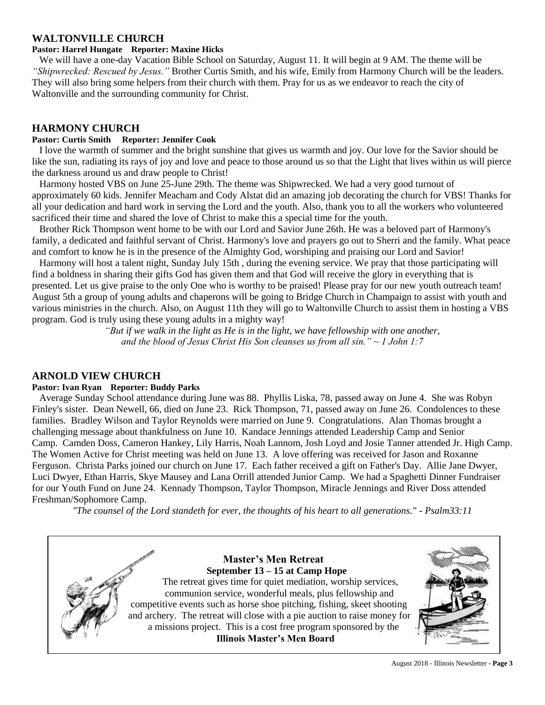## **WALTONVILLE CHURCH**

#### **Pastor: Harrel Hungate Reporter: Maxine Hicks**

 We will have a one-day Vacation Bible School on Saturday, August 11. It will begin at 9 AM. The theme will be *"Shipwrecked: Rescued by Jesus."* Brother Curtis Smith, and his wife, Emily from Harmony Church will be the leaders. They will also bring some helpers from their church with them. Pray for us as we endeavor to reach the city of Waltonville and the surrounding community for Christ.

## **HARMONY CHURCH**

### **Pastor: Curtis Smith Reporter: Jennifer Cook**

 I love the warmth of summer and the bright sunshine that gives us warmth and joy. Our love for the Savior should be like the sun, radiating its rays of joy and love and peace to those around us so that the Light that lives within us will pierce the darkness around us and draw people to Christ!

 Harmony hosted VBS on June 25-June 29th. The theme was Shipwrecked. We had a very good turnout of approximately 60 kids. Jennifer Meacham and Cody Alstat did an amazing job decorating the church for VBS! Thanks for all your dedication and hard work in serving the Lord and the youth. Also, thank you to all the workers who volunteered sacrificed their time and shared the love of Christ to make this a special time for the youth.

 Brother Rick Thompson went home to be with our Lord and Savior June 26th. He was a beloved part of Harmony's family, a dedicated and faithful servant of Christ. Harmony's love and prayers go out to Sherri and the family. What peace and comfort to know he is in the presence of the Almighty God, worshiping and praising our Lord and Savior!

 Harmony will host a talent night, Sunday July 15th , during the evening service. We pray that those participating will find a boldness in sharing their gifts God has given them and that God will receive the glory in everything that is presented. Let us give praise to the only One who is worthy to be praised! Please pray for our new youth outreach team! August 5th a group of young adults and chaperons will be going to Bridge Church in Champaign to assist with youth and various ministries in the church. Also, on August 11th they will go to Waltonville Church to assist them in hosting a VBS program. God is truly using these young adults in a mighty way!

*"But if we walk in the light as He is in the light, we have fellowship with one another, and the blood of Jesus Christ His Son cleanses us from all sin." ~ 1 John 1:7*

## **ARNOLD VIEW CHURCH**

#### **Pastor: Ivan Ryan Reporter: Buddy Parks**

 Average Sunday School attendance during June was 88. Phyllis Liska, 78, passed away on June 4. She was Robyn Finley's sister. Dean Newell, 66, died on June 23. Rick Thompson, 71, passed away on June 26. Condolences to these families. Bradley Wilson and Taylor Reynolds were married on June 9. Congratulations. Alan Thomas brought a challenging message about thankfulness on June 10. Kandace Jennings attended Leadership Camp and Senior Camp. Camden Doss, Cameron Hankey, Lily Harris, Noah Lannom, Josh Loyd and Josie Tanner attended Jr. High Camp. The Women Active for Christ meeting was held on June 13. A love offering was received for Jason and Roxanne Ferguson. Christa Parks joined our church on June 17. Each father received a gift on Father's Day. Allie Jane Dwyer, Luci Dwyer, Ethan Harris, Skye Mausey and Lana Orrill attended Junior Camp. We had a Spaghetti Dinner Fundraiser for our Youth Fund on June 24. Kennady Thompson, Taylor Thompson, Miracle Jennings and River Doss attended Freshman/Sophomore Camp.

*"The counsel of the Lord standeth for ever, the thoughts of his heart to all generations." - Psalm33:11*

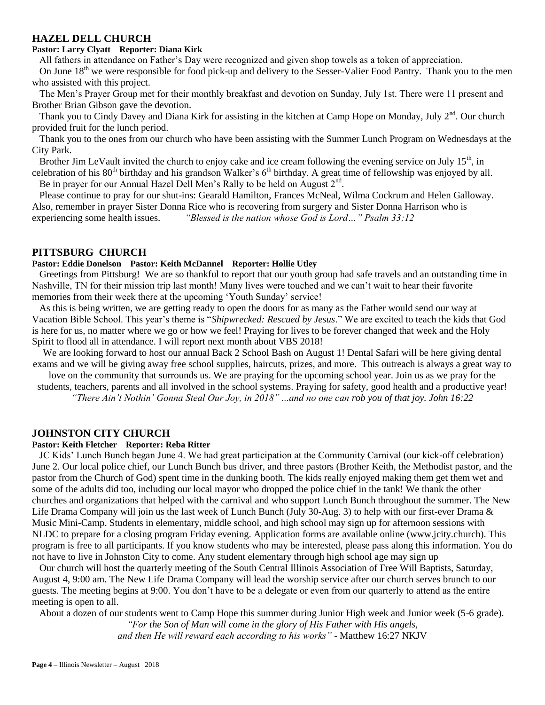## **HAZEL DELL CHURCH**

#### **Pastor: Larry Clyatt Reporter: Diana Kirk**

All fathers in attendance on Father's Day were recognized and given shop towels as a token of appreciation.

On June 18<sup>th</sup> we were responsible for food pick-up and delivery to the Sesser-Valier Food Pantry. Thank you to the men who assisted with this project.

 The Men's Prayer Group met for their monthly breakfast and devotion on Sunday, July 1st. There were 11 present and Brother Brian Gibson gave the devotion.

Thank you to Cindy Davey and Diana Kirk for assisting in the kitchen at Camp Hope on Monday, July  $2^{nd}$ . Our church provided fruit for the lunch period.

 Thank you to the ones from our church who have been assisting with the Summer Lunch Program on Wednesdays at the City Park.

Brother Jim LeVault invited the church to enjoy cake and ice cream following the evening service on July 15<sup>th</sup>, in celebration of his  $80<sup>th</sup>$  birthday and his grandson Walker's  $6<sup>th</sup>$  birthday. A great time of fellowship was enjoyed by all.

Be in prayer for our Annual Hazel Dell Men's Rally to be held on August  $2<sup>nd</sup>$ .

 Please continue to pray for our shut-ins: Gearald Hamilton, Frances McNeal, Wilma Cockrum and Helen Galloway. Also, remember in prayer Sister Donna Rice who is recovering from surgery and Sister Donna Harrison who is experiencing some health issues. *"Blessed is the nation whose God is Lord…" Psalm 33:12*

## **PITTSBURG CHURCH**

#### **Pastor: Eddie Donelson Pastor: Keith McDannel Reporter: Hollie Utley**

 Greetings from Pittsburg! We are so thankful to report that our youth group had safe travels and an outstanding time in Nashville, TN for their mission trip last month! Many lives were touched and we can't wait to hear their favorite memories from their week there at the upcoming 'Youth Sunday' service!

 As this is being written, we are getting ready to open the doors for as many as the Father would send our way at Vacation Bible School. This year's theme is "*Shipwrecked: Rescued by Jesus*." We are excited to teach the kids that God is here for us, no matter where we go or how we feel! Praying for lives to be forever changed that week and the Holy Spirit to flood all in attendance. I will report next month about VBS 2018!

We are looking forward to host our annual Back 2 School Bash on August 1! Dental Safari will be here giving dental exams and we will be giving away free school supplies, haircuts, prizes, and more. This outreach is always a great way to

love on the community that surrounds us. We are praying for the upcoming school year. Join us as we pray for the students, teachers, parents and all involved in the school systems. Praying for safety, good health and a productive year! *"There Ain't Nothin' Gonna Steal Our Joy, in 2018" ...and no one can rob you of that joy. John 16:22*

#### **JOHNSTON CITY CHURCH**

#### **Pastor: Keith Fletcher Reporter: Reba Ritter**

 JC Kids' Lunch Bunch began June 4. We had great participation at the Community Carnival (our kick-off celebration) June 2. Our local police chief, our Lunch Bunch bus driver, and three pastors (Brother Keith, the Methodist pastor, and the pastor from the Church of God) spent time in the dunking booth. The kids really enjoyed making them get them wet and some of the adults did too, including our local mayor who dropped the police chief in the tank! We thank the other churches and organizations that helped with the carnival and who support Lunch Bunch throughout the summer. The New Life Drama Company will join us the last week of Lunch Bunch (July 30-Aug. 3) to help with our first-ever Drama & Music Mini-Camp. Students in elementary, middle school, and high school may sign up for afternoon sessions with NLDC to prepare for a closing program Friday evening. Application forms are available online (www.jcity.church). This program is free to all participants. If you know students who may be interested, please pass along this information. You do not have to live in Johnston City to come. Any student elementary through high school age may sign up

 Our church will host the quarterly meeting of the South Central Illinois Association of Free Will Baptists, Saturday, August 4, 9:00 am. The New Life Drama Company will lead the worship service after our church serves brunch to our guests. The meeting begins at 9:00. You don't have to be a delegate or even from our quarterly to attend as the entire meeting is open to all.

About a dozen of our students went to Camp Hope this summer during Junior High week and Junior week (5-6 grade).

*"For the Son of Man will come in the glory of His Father with His angels, and then He will reward each according to his works"* - Matthew 16:27 NKJV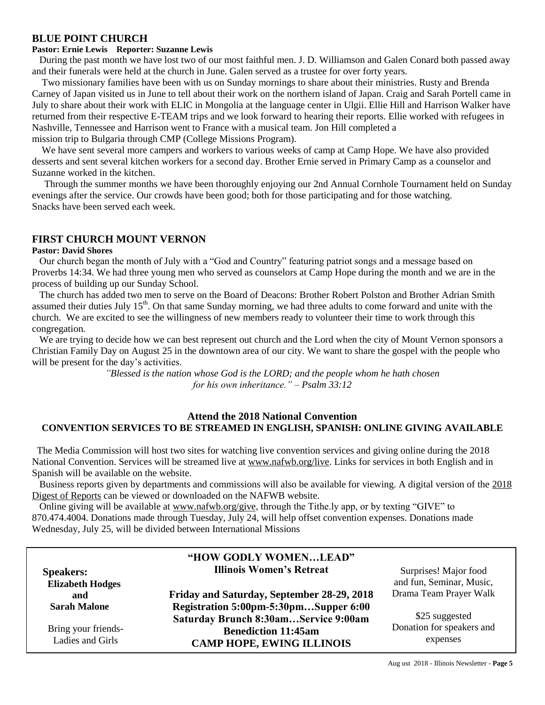## **BLUE POINT CHURCH**

#### **Pastor: Ernie Lewis Reporter: Suzanne Lewis**

 During the past month we have lost two of our most faithful men. J. D. Williamson and Galen Conard both passed away and their funerals were held at the church in June. Galen served as a trustee for over forty years.

 Two missionary families have been with us on Sunday mornings to share about their ministries. Rusty and Brenda Carney of Japan visited us in June to tell about their work on the northern island of Japan. Craig and Sarah Portell came in July to share about their work with ELIC in Mongolia at the language center in Ulgii. Ellie Hill and Harrison Walker have returned from their respective E-TEAM trips and we look forward to hearing their reports. Ellie worked with refugees in Nashville, Tennessee and Harrison went to France with a musical team. Jon Hill completed a mission trip to Bulgaria through CMP (College Missions Program).

We have sent several more campers and workers to various weeks of camp at Camp Hope. We have also provided desserts and sent several kitchen workers for a second day. Brother Ernie served in Primary Camp as a counselor and Suzanne worked in the kitchen.

Through the summer months we have been thoroughly enjoying our 2nd Annual Cornhole Tournament held on Sunday evenings after the service. Our crowds have been good; both for those participating and for those watching. Snacks have been served each week.

## **FIRST CHURCH MOUNT VERNON**

#### **Pastor: David Shores**

 Our church began the month of July with a "God and Country" featuring patriot songs and a message based on Proverbs 14:34. We had three young men who served as counselors at Camp Hope during the month and we are in the process of building up our Sunday School.

 The church has added two men to serve on the Board of Deacons: Brother Robert Polston and Brother Adrian Smith assumed their duties July  $15<sup>th</sup>$ . On that same Sunday morning, we had three adults to come forward and unite with the church. We are excited to see the willingness of new members ready to volunteer their time to work through this congregation.

We are trying to decide how we can best represent out church and the Lord when the city of Mount Vernon sponsors a Christian Family Day on August 25 in the downtown area of our city. We want to share the gospel with the people who will be present for the day's activities.

> *"Blessed is the nation whose God is the LORD; and the people whom he hath chosen for his own inheritance." – Psalm 33:12*

## **Attend the 2018 National Convention CONVENTION SERVICES TO BE STREAMED IN ENGLISH, SPANISH: ONLINE GIVING AVAILABLE**

 The Media Commission will host two sites for watching live convention services and giving online during the 2018 National Convention. Services will be streamed live at [www.nafwb.org/live.](http://www.nafwb.org/live) Links for services in both English and in Spanish will be available on the website.

Business reports given by departments and commissions will also be available for viewing. A digital version of the 2018 [Digest of Reports](http://nafwb.org/site/wp-content/uploads/2018/07/2018-Digest-of-Reports.pdf) can be viewed or downloaded on the NAFWB website.

 Online giving will be available at [www.nafwb.org/give,](http://nafwb.org/give/) through the Tithe.ly app, or by texting "GIVE" to 870.474.4004. Donations made through Tuesday, July 24, will help offset convention expenses. Donations made Wednesday, July 25, will be divided between International Missions

|                                         | "HOW GODLY WOMENLEAD"                                          |                                                   |
|-----------------------------------------|----------------------------------------------------------------|---------------------------------------------------|
| <b>Speakers:</b>                        | <b>Illinois Women's Retreat</b>                                | Surprises! Major food<br>and fun, Seminar, Music, |
| <b>Elizabeth Hodges</b><br>and          | Friday and Saturday, September 28-29, 2018                     | Drama Team Prayer Walk                            |
| <b>Sarah Malone</b>                     | Registration 5:00pm-5:30pmSupper 6:00                          |                                                   |
|                                         | Saturday Brunch 8:30amService 9:00am                           | \$25 suggested                                    |
| Bring your friends-<br>Ladies and Girls | <b>Benediction 11:45am</b><br><b>CAMP HOPE, EWING ILLINOIS</b> | Donation for speakers and<br>expenses             |

Aug ust 2018 - Illinois Newsletter - **Page 5**